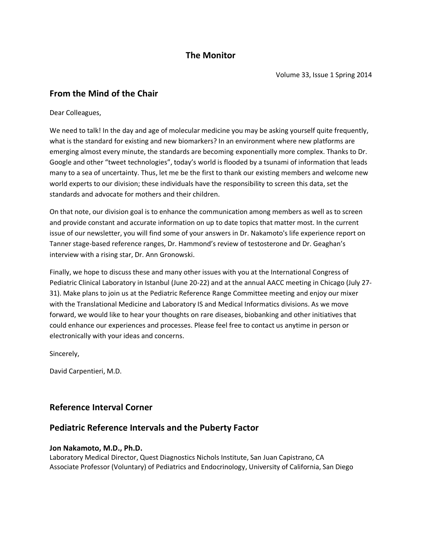# **The Monitor**

## **From the Mind of the Chair**

#### Dear Colleagues,

We need to talk! In the day and age of molecular medicine you may be asking yourself quite frequently, what is the standard for existing and new biomarkers? In an environment where new platforms are emerging almost every minute, the standards are becoming exponentially more complex. Thanks to Dr. Google and other "tweet technologies", today's world is flooded by a tsunami of information that leads many to a sea of uncertainty. Thus, let me be the first to thank our existing members and welcome new world experts to our division; these individuals have the responsibility to screen this data, set the standards and advocate for mothers and their children.

On that note, our division goal is to enhance the communication among members as well as to screen and provide constant and accurate information on up to date topics that matter most. In the current issue of our newsletter, you will find some of your answers in Dr. Nakamoto's life experience report on Tanner stage-based reference ranges, Dr. Hammond's review of testosterone and Dr. Geaghan's interview with a rising star, Dr. Ann Gronowski.

Finally, we hope to discuss these and many other issues with you at the International Congress of Pediatric Clinical Laboratory in Istanbul (June 20-22) and at the annual AACC meeting in Chicago (July 27- 31). Make plans to join us at the Pediatric Reference Range Committee meeting and enjoy our mixer with the Translational Medicine and Laboratory IS and Medical Informatics divisions. As we move forward, we would like to hear your thoughts on rare diseases, biobanking and other initiatives that could enhance our experiences and processes. Please feel free to contact us anytime in person or electronically with your ideas and concerns.

Sincerely,

David Carpentieri, M.D.

## **Reference Interval Corner**

## **Pediatric Reference Intervals and the Puberty Factor**

#### **Jon Nakamoto, M.D., Ph.D.**

Laboratory Medical Director, Quest Diagnostics Nichols Institute, San Juan Capistrano, CA Associate Professor (Voluntary) of Pediatrics and Endocrinology, University of California, San Diego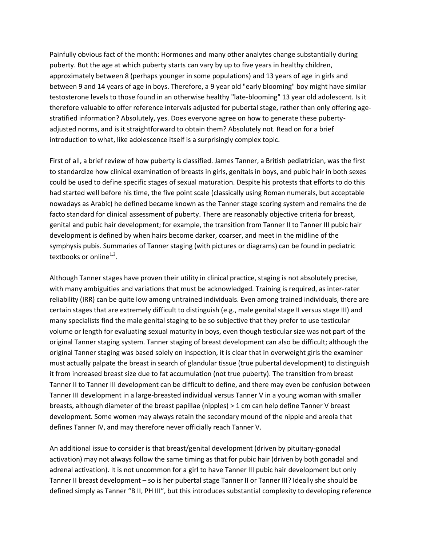Painfully obvious fact of the month: Hormones and many other analytes change substantially during puberty. But the age at which puberty starts can vary by up to five years in healthy children, approximately between 8 (perhaps younger in some populations) and 13 years of age in girls and between 9 and 14 years of age in boys. Therefore, a 9 year old "early blooming" boy might have similar testosterone levels to those found in an otherwise healthy "late-blooming" 13 year old adolescent. Is it therefore valuable to offer reference intervals adjusted for pubertal stage, rather than only offering agestratified information? Absolutely, yes. Does everyone agree on how to generate these pubertyadjusted norms, and is it straightforward to obtain them? Absolutely not. Read on for a brief introduction to what, like adolescence itself is a surprisingly complex topic.

First of all, a brief review of how puberty is classified. James Tanner, a British pediatrician, was the first to standardize how clinical examination of breasts in girls, genitals in boys, and pubic hair in both sexes could be used to define specific stages of sexual maturation. Despite his protests that efforts to do this had started well before his time, the five point scale (classically using Roman numerals, but acceptable nowadays as Arabic) he defined became known as the Tanner stage scoring system and remains the de facto standard for clinical assessment of puberty. There are reasonably objective criteria for breast, genital and pubic hair development; for example, the transition from Tanner II to Tanner III pubic hair development is defined by when hairs become darker, coarser, and meet in the midline of the symphysis pubis. Summaries of Tanner staging (with pictures or diagrams) can be found in pediatric textbooks or online $1,2$ .

Although Tanner stages have proven their utility in clinical practice, staging is not absolutely precise, with many ambiguities and variations that must be acknowledged. Training is required, as inter-rater reliability (IRR) can be quite low among untrained individuals. Even among trained individuals, there are certain stages that are extremely difficult to distinguish (e.g., male genital stage II versus stage III) and many specialists find the male genital staging to be so subjective that they prefer to use testicular volume or length for evaluating sexual maturity in boys, even though testicular size was not part of the original Tanner staging system. Tanner staging of breast development can also be difficult; although the original Tanner staging was based solely on inspection, it is clear that in overweight girls the examiner must actually palpate the breast in search of glandular tissue (true pubertal development) to distinguish it from increased breast size due to fat accumulation (not true puberty). The transition from breast Tanner II to Tanner III development can be difficult to define, and there may even be confusion between Tanner III development in a large-breasted individual versus Tanner V in a young woman with smaller breasts, although diameter of the breast papillae (nipples) > 1 cm can help define Tanner V breast development. Some women may always retain the secondary mound of the nipple and areola that defines Tanner IV, and may therefore never officially reach Tanner V.

An additional issue to consider is that breast/genital development (driven by pituitary-gonadal activation) may not always follow the same timing as that for pubic hair (driven by both gonadal and adrenal activation). It is not uncommon for a girl to have Tanner III pubic hair development but only Tanner II breast development – so is her pubertal stage Tanner II or Tanner III? Ideally she should be defined simply as Tanner "B II, PH III", but this introduces substantial complexity to developing reference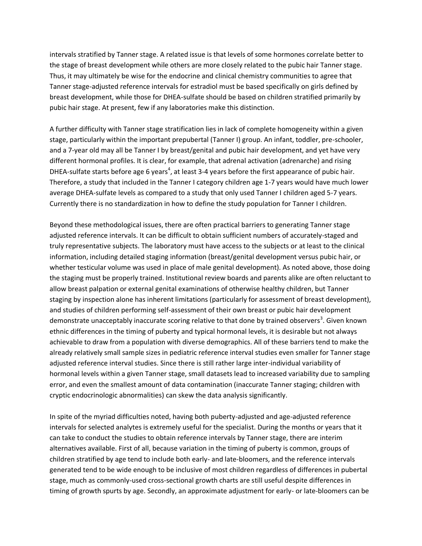intervals stratified by Tanner stage. A related issue is that levels of some hormones correlate better to the stage of breast development while others are more closely related to the pubic hair Tanner stage. Thus, it may ultimately be wise for the endocrine and clinical chemistry communities to agree that Tanner stage-adjusted reference intervals for estradiol must be based specifically on girls defined by breast development, while those for DHEA-sulfate should be based on children stratified primarily by pubic hair stage. At present, few if any laboratories make this distinction.

A further difficulty with Tanner stage stratification lies in lack of complete homogeneity within a given stage, particularly within the important prepubertal (Tanner I) group. An infant, toddler, pre-schooler, and a 7-year old may all be Tanner I by breast/genital and pubic hair development, and yet have very different hormonal profiles. It is clear, for example, that adrenal activation (adrenarche) and rising DHEA-sulfate starts before age 6 years<sup>4</sup>, at least 3-4 years before the first appearance of pubic hair. Therefore, a study that included in the Tanner I category children age 1-7 years would have much lower average DHEA-sulfate levels as compared to a study that only used Tanner I children aged 5-7 years. Currently there is no standardization in how to define the study population for Tanner I children.

Beyond these methodological issues, there are often practical barriers to generating Tanner stage adjusted reference intervals. It can be difficult to obtain sufficient numbers of accurately-staged and truly representative subjects. The laboratory must have access to the subjects or at least to the clinical information, including detailed staging information (breast/genital development versus pubic hair, or whether testicular volume was used in place of male genital development). As noted above, those doing the staging must be properly trained. Institutional review boards and parents alike are often reluctant to allow breast palpation or external genital examinations of otherwise healthy children, but Tanner staging by inspection alone has inherent limitations (particularly for assessment of breast development), and studies of children performing self-assessment of their own breast or pubic hair development demonstrate unacceptably inaccurate scoring relative to that done by trained observers<sup>3</sup>. Given known ethnic differences in the timing of puberty and typical hormonal levels, it is desirable but not always achievable to draw from a population with diverse demographics. All of these barriers tend to make the already relatively small sample sizes in pediatric reference interval studies even smaller for Tanner stage adjusted reference interval studies. Since there is still rather large inter-individual variability of hormonal levels within a given Tanner stage, small datasets lead to increased variability due to sampling error, and even the smallest amount of data contamination (inaccurate Tanner staging; children with cryptic endocrinologic abnormalities) can skew the data analysis significantly.

In spite of the myriad difficulties noted, having both puberty-adjusted and age-adjusted reference intervals for selected analytes is extremely useful for the specialist. During the months or years that it can take to conduct the studies to obtain reference intervals by Tanner stage, there are interim alternatives available. First of all, because variation in the timing of puberty is common, groups of children stratified by age tend to include both early- and late-bloomers, and the reference intervals generated tend to be wide enough to be inclusive of most children regardless of differences in pubertal stage, much as commonly-used cross-sectional growth charts are still useful despite differences in timing of growth spurts by age. Secondly, an approximate adjustment for early- or late-bloomers can be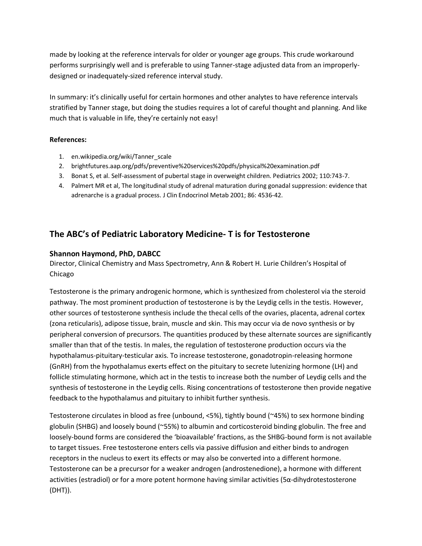made by looking at the reference intervals for older or younger age groups. This crude workaround performs surprisingly well and is preferable to using Tanner-stage adjusted data from an improperlydesigned or inadequately-sized reference interval study.

In summary: it's clinically useful for certain hormones and other analytes to have reference intervals stratified by Tanner stage, but doing the studies requires a lot of careful thought and planning. And like much that is valuable in life, they're certainly not easy!

#### **References:**

- 1. en.wikipedia.org/wiki/Tanner\_scale
- 2. brightfutures.aap.org/pdfs/preventive%20services%20pdfs/physical%20examination.pdf
- 3. Bonat S, et al. Self-assessment of pubertal stage in overweight children. Pediatrics 2002; 110:743-7.
- 4. Palmert MR et al, The longitudinal study of adrenal maturation during gonadal suppression: evidence that adrenarche is a gradual process. J Clin Endocrinol Metab 2001; 86: 4536-42.

# **The ABC's of Pediatric Laboratory Medicine- T is for Testosterone**

### **Shannon Haymond, PhD, DABCC**

Director, Clinical Chemistry and Mass Spectrometry, Ann & Robert H. Lurie Children's Hospital of Chicago

Testosterone is the primary androgenic hormone, which is synthesized from cholesterol via the steroid pathway. The most prominent production of testosterone is by the Leydig cells in the testis. However, other sources of testosterone synthesis include the thecal cells of the ovaries, placenta, adrenal cortex (zona reticularis), adipose tissue, brain, muscle and skin. This may occur via de novo synthesis or by peripheral conversion of precursors. The quantities produced by these alternate sources are significantly smaller than that of the testis. In males, the regulation of testosterone production occurs via the hypothalamus-pituitary-testicular axis. To increase testosterone, gonadotropin-releasing hormone (GnRH) from the hypothalamus exerts effect on the pituitary to secrete lutenizing hormone (LH) and follicle stimulating hormone, which act in the testis to increase both the number of Leydig cells and the synthesis of testosterone in the Leydig cells. Rising concentrations of testosterone then provide negative feedback to the hypothalamus and pituitary to inhibit further synthesis.

Testosterone circulates in blood as free (unbound, <5%), tightly bound (~45%) to sex hormone binding globulin (SHBG) and loosely bound (~55%) to albumin and corticosteroid binding globulin. The free and loosely-bound forms are considered the 'bioavailable' fractions, as the SHBG-bound form is not available to target tissues. Free testosterone enters cells via passive diffusion and either binds to androgen receptors in the nucleus to exert its effects or may also be converted into a different hormone. Testosterone can be a precursor for a weaker androgen (androstenedione), a hormone with different activities (estradiol) or for a more potent hormone having similar activities (5α-dihydrotestosterone (DHT)).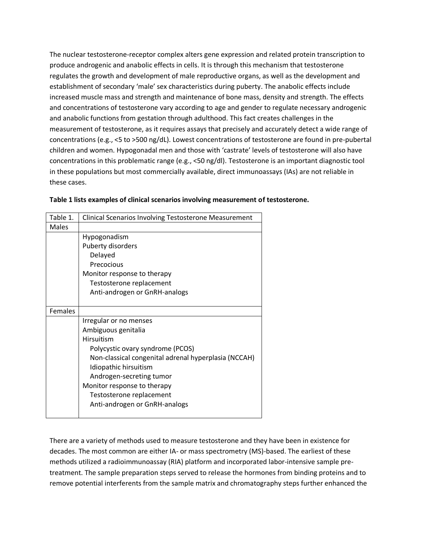The nuclear testosterone-receptor complex alters gene expression and related protein transcription to produce androgenic and anabolic effects in cells. It is through this mechanism that testosterone regulates the growth and development of male reproductive organs, as well as the development and establishment of secondary 'male' sex characteristics during puberty. The anabolic effects include increased muscle mass and strength and maintenance of bone mass, density and strength. The effects and concentrations of testosterone vary according to age and gender to regulate necessary androgenic and anabolic functions from gestation through adulthood. This fact creates challenges in the measurement of testosterone, as it requires assays that precisely and accurately detect a wide range of concentrations (e.g., <5 to >500 ng/dL). Lowest concentrations of testosterone are found in pre-pubertal children and women. Hypogonadal men and those with 'castrate' levels of testosterone will also have concentrations in this problematic range (e.g., <50 ng/dl). Testosterone is an important diagnostic tool in these populations but most commercially available, direct immunoassays (IAs) are not reliable in these cases.

| Table 1.       | <b>Clinical Scenarios Involving Testosterone Measurement</b> |
|----------------|--------------------------------------------------------------|
| <b>Males</b>   |                                                              |
|                | Hypogonadism                                                 |
|                | Puberty disorders                                            |
|                | Delayed                                                      |
|                | Precocious                                                   |
|                | Monitor response to therapy                                  |
|                | Testosterone replacement                                     |
|                | Anti-androgen or GnRH-analogs                                |
|                |                                                              |
| <b>Females</b> |                                                              |
|                | Irregular or no menses                                       |
|                | Ambiguous genitalia                                          |
|                | <b>Hirsuitism</b>                                            |
|                | Polycystic ovary syndrome (PCOS)                             |
|                | Non-classical congenital adrenal hyperplasia (NCCAH)         |
|                | Idiopathic hirsuitism                                        |
|                | Androgen-secreting tumor                                     |
|                | Monitor response to therapy                                  |
|                | Testosterone replacement                                     |
|                | Anti-androgen or GnRH-analogs                                |
|                |                                                              |

#### **Table 1 lists examples of clinical scenarios involving measurement of testosterone.**

There are a variety of methods used to measure testosterone and they have been in existence for decades. The most common are either IA- or mass spectrometry (MS)-based. The earliest of these methods utilized a radioimmunoassay (RIA) platform and incorporated labor-intensive sample pretreatment. The sample preparation steps served to release the hormones from binding proteins and to remove potential interferents from the sample matrix and chromatography steps further enhanced the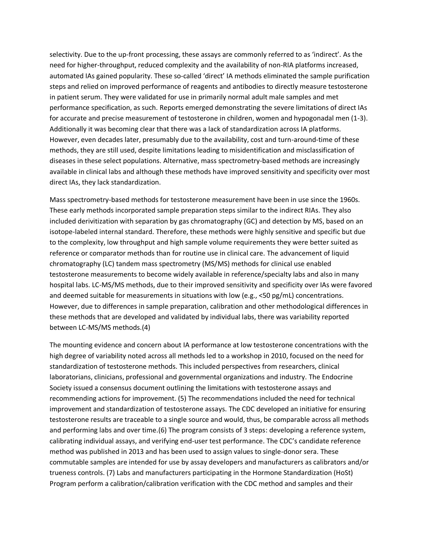selectivity. Due to the up-front processing, these assays are commonly referred to as 'indirect'. As the need for higher-throughput, reduced complexity and the availability of non-RIA platforms increased, automated IAs gained popularity. These so-called 'direct' IA methods eliminated the sample purification steps and relied on improved performance of reagents and antibodies to directly measure testosterone in patient serum. They were validated for use in primarily normal adult male samples and met performance specification, as such. Reports emerged demonstrating the severe limitations of direct IAs for accurate and precise measurement of testosterone in children, women and hypogonadal men (1-3). Additionally it was becoming clear that there was a lack of standardization across IA platforms. However, even decades later, presumably due to the availability, cost and turn-around-time of these methods, they are still used, despite limitations leading to misidentification and misclassification of diseases in these select populations. Alternative, mass spectrometry-based methods are increasingly available in clinical labs and although these methods have improved sensitivity and specificity over most direct IAs, they lack standardization.

Mass spectrometry-based methods for testosterone measurement have been in use since the 1960s. These early methods incorporated sample preparation steps similar to the indirect RIAs. They also included derivitization with separation by gas chromatography (GC) and detection by MS, based on an isotope-labeled internal standard. Therefore, these methods were highly sensitive and specific but due to the complexity, low throughput and high sample volume requirements they were better suited as reference or comparator methods than for routine use in clinical care. The advancement of liquid chromatography (LC) tandem mass spectrometry (MS/MS) methods for clinical use enabled testosterone measurements to become widely available in reference/specialty labs and also in many hospital labs. LC-MS/MS methods, due to their improved sensitivity and specificity over IAs were favored and deemed suitable for measurements in situations with low (e.g., <50 pg/mL) concentrations. However, due to differences in sample preparation, calibration and other methodological differences in these methods that are developed and validated by individual labs, there was variability reported between LC-MS/MS methods.(4)

The mounting evidence and concern about IA performance at low testosterone concentrations with the high degree of variability noted across all methods led to a workshop in 2010, focused on the need for standardization of testosterone methods. This included perspectives from researchers, clinical laboratorians, clinicians, professional and governmental organizations and industry. The Endocrine Society issued a consensus document outlining the limitations with testosterone assays and recommending actions for improvement. (5) The recommendations included the need for technical improvement and standardization of testosterone assays. The CDC developed an initiative for ensuring testosterone results are traceable to a single source and would, thus, be comparable across all methods and performing labs and over time.(6) The program consists of 3 steps: developing a reference system, calibrating individual assays, and verifying end-user test performance. The CDC's candidate reference method was published in 2013 and has been used to assign values to single-donor sera. These commutable samples are intended for use by assay developers and manufacturers as calibrators and/or trueness controls. (7) Labs and manufacturers participating in the Hormone Standardization (HoSt) Program perform a calibration/calibration verification with the CDC method and samples and their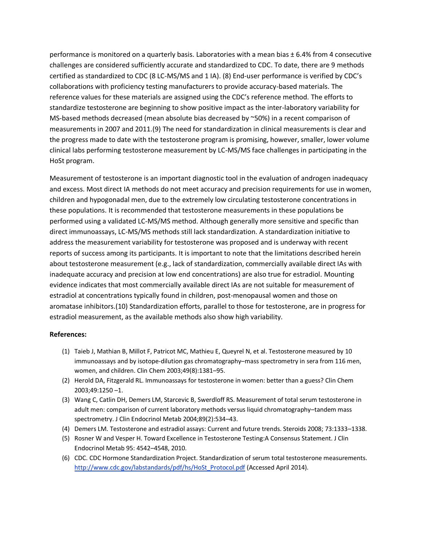performance is monitored on a quarterly basis. Laboratories with a mean bias ± 6.4% from 4 consecutive challenges are considered sufficiently accurate and standardized to CDC. To date, there are 9 methods certified as standardized to CDC (8 LC-MS/MS and 1 IA). (8) End-user performance is verified by CDC's collaborations with proficiency testing manufacturers to provide accuracy-based materials. The reference values for these materials are assigned using the CDC's reference method. The efforts to standardize testosterone are beginning to show positive impact as the inter-laboratory variability for MS-based methods decreased (mean absolute bias decreased by ~50%) in a recent comparison of measurements in 2007 and 2011.(9) The need for standardization in clinical measurements is clear and the progress made to date with the testosterone program is promising, however, smaller, lower volume clinical labs performing testosterone measurement by LC-MS/MS face challenges in participating in the HoSt program.

Measurement of testosterone is an important diagnostic tool in the evaluation of androgen inadequacy and excess. Most direct IA methods do not meet accuracy and precision requirements for use in women, children and hypogonadal men, due to the extremely low circulating testosterone concentrations in these populations. It is recommended that testosterone measurements in these populations be performed using a validated LC-MS/MS method. Although generally more sensitive and specific than direct immunoassays, LC-MS/MS methods still lack standardization. A standardization initiative to address the measurement variability for testosterone was proposed and is underway with recent reports of success among its participants. It is important to note that the limitations described herein about testosterone measurement (e.g., lack of standardization, commercially available direct IAs with inadequate accuracy and precision at low end concentrations) are also true for estradiol. Mounting evidence indicates that most commercially available direct IAs are not suitable for measurement of estradiol at concentrations typically found in children, post-menopausal women and those on aromatase inhibitors.(10) Standardization efforts, parallel to those for testosterone, are in progress for estradiol measurement, as the available methods also show high variability.

#### **References:**

- (1) Taieb J, Mathian B, Millot F, Patricot MC, Mathieu E, Queyrel N, et al. Testosterone measured by 10 immunoassays and by isotope-dilution gas chromatography–mass spectrometry in sera from 116 men, women, and children. Clin Chem 2003;49(8):1381–95.
- (2) Herold DA, Fitzgerald RL. Immunoassays for testosterone in women: better than a guess? Clin Chem 2003;49:1250 –1.
- (3) Wang C, Catlin DH, Demers LM, Starcevic B, Swerdloff RS. Measurement of total serum testosterone in adult men: comparison of current laboratory methods versus liquid chromatography–tandem mass spectrometry. J Clin Endocrinol Metab 2004;89(2):534–43.
- (4) Demers LM. Testosterone and estradiol assays: Current and future trends. Steroids 2008; 73:1333–1338.
- (5) Rosner W and Vesper H. Toward Excellence in Testosterone Testing:A Consensus Statement. J Clin Endocrinol Metab 95: 4542–4548, 2010.
- (6) CDC. CDC Hormone Standardization Project. Standardization of serum total testosterone measurements. [http://www.cdc.gov/labstandards/pdf/hs/HoSt\\_Protocol.pdf](http://www.cdc.gov/labstandards/pdf/hs/HoSt_Protocol.pdf) (Accessed April 2014).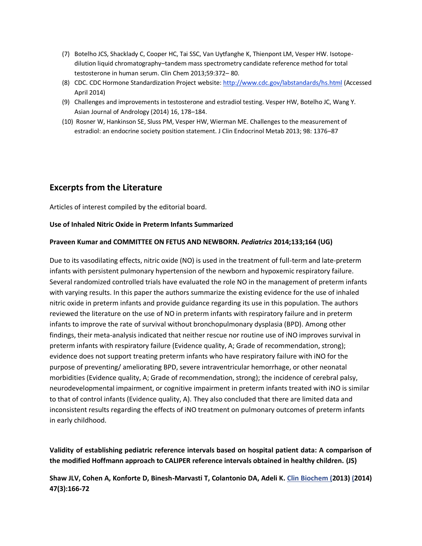- (7) Botelho JCS, Shacklady C, Cooper HC, Tai SSC, Van Uytfanghe K, Thienpont LM, Vesper HW. Isotopedilution liquid chromatography–tandem mass spectrometry candidate reference method for total testosterone in human serum. Clin Chem 2013;59:372– 80.
- (8) CDC. CDC Hormone Standardization Project website[: http://www.cdc.gov/labstandards/hs.html](http://www.cdc.gov/labstandards/hs.html) (Accessed April 2014)
- (9) Challenges and improvements in testosterone and estradiol testing. Vesper HW, Botelho JC, Wang Y. Asian Journal of Andrology (2014) 16, 178–184.
- (10) Rosner W, Hankinson SE, Sluss PM, Vesper HW, Wierman ME. Challenges to the measurement of estradiol: an endocrine society position statement. J Clin Endocrinol Metab 2013; 98: 1376–87

## **Excerpts from the Literature**

Articles of interest compiled by the editorial board.

#### **Use of Inhaled Nitric Oxide in Preterm Infants Summarized**

#### **Praveen Kumar and COMMITTEE ON FETUS AND NEWBORN.** *Pediatrics* **2014;133;164 (UG)**

Due to its vasodilating effects, nitric oxide (NO) is used in the treatment of full-term and late-preterm infants with persistent pulmonary hypertension of the newborn and hypoxemic respiratory failure. Several randomized controlled trials have evaluated the role NO in the management of preterm infants with varying results. In this paper the authors summarize the existing evidence for the use of inhaled nitric oxide in preterm infants and provide guidance regarding its use in this population. The authors reviewed the literature on the use of NO in preterm infants with respiratory failure and in preterm infants to improve the rate of survival without bronchopulmonary dysplasia (BPD). Among other findings, their meta-analysis indicated that neither rescue nor routine use of iNO improves survival in preterm infants with respiratory failure (Evidence quality, A; Grade of recommendation, strong); evidence does not support treating preterm infants who have respiratory failure with iNO for the purpose of preventing/ ameliorating BPD, severe intraventricular hemorrhage, or other neonatal morbidities (Evidence quality, A; Grade of recommendation, strong); the incidence of cerebral palsy, neurodevelopmental impairment, or cognitive impairment in preterm infants treated with iNO is similar to that of control infants (Evidence quality, A). They also concluded that there are limited data and inconsistent results regarding the effects of iNO treatment on pulmonary outcomes of preterm infants in early childhood.

**Validity of establishing pediatric reference intervals based on hospital patient data: A comparison of the modified Hoffmann approach to CALIPER reference intervals obtained in healthy children. (JS)**

## **Shaw JLV, Cohen A, Konforte D, Binesh-Marvasti T, Colantonio DA, Adeli K. Clin Biochem (2013) (2014) 47(3):166-72**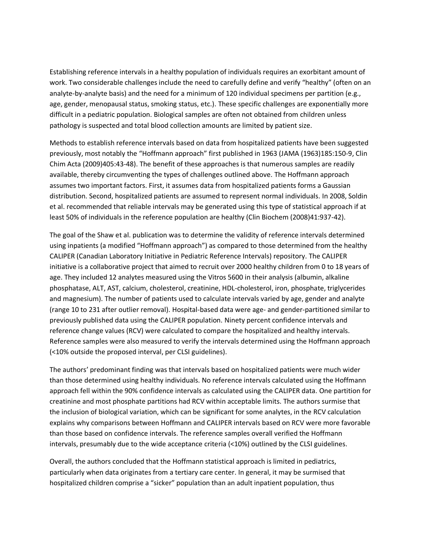Establishing reference intervals in a healthy population of individuals requires an exorbitant amount of work. Two considerable challenges include the need to carefully define and verify "healthy" (often on an analyte-by-analyte basis) and the need for a minimum of 120 individual specimens per partition (e.g., age, gender, menopausal status, smoking status, etc.). These specific challenges are exponentially more difficult in a pediatric population. Biological samples are often not obtained from children unless pathology is suspected and total blood collection amounts are limited by patient size.

Methods to establish reference intervals based on data from hospitalized patients have been suggested previously, most notably the "Hoffmann approach" first published in 1963 (JAMA (1963)185:150-9, Clin Chim Acta (2009)405:43-48). The benefit of these approaches is that numerous samples are readily available, thereby circumventing the types of challenges outlined above. The Hoffmann approach assumes two important factors. First, it assumes data from hospitalized patients forms a Gaussian distribution. Second, hospitalized patients are assumed to represent normal individuals. In 2008, Soldin et al. recommended that reliable intervals may be generated using this type of statistical approach if at least 50% of individuals in the reference population are healthy (Clin Biochem (2008)41:937-42).

The goal of the Shaw et al. publication was to determine the validity of reference intervals determined using inpatients (a modified "Hoffmann approach") as compared to those determined from the healthy CALIPER (Canadian Laboratory Initiative in Pediatric Reference Intervals) repository. The CALIPER initiative is a collaborative project that aimed to recruit over 2000 healthy children from 0 to 18 years of age. They included 12 analytes measured using the Vitros 5600 in their analysis (albumin, alkaline phosphatase, ALT, AST, calcium, cholesterol, creatinine, HDL-cholesterol, iron, phosphate, triglycerides and magnesium). The number of patients used to calculate intervals varied by age, gender and analyte (range 10 to 231 after outlier removal). Hospital-based data were age- and gender-partitioned similar to previously published data using the CALIPER population. Ninety percent confidence intervals and reference change values (RCV) were calculated to compare the hospitalized and healthy intervals. Reference samples were also measured to verify the intervals determined using the Hoffmann approach (<10% outside the proposed interval, per CLSI guidelines).

The authors' predominant finding was that intervals based on hospitalized patients were much wider than those determined using healthy individuals. No reference intervals calculated using the Hoffmann approach fell within the 90% confidence intervals as calculated using the CALIPER data. One partition for creatinine and most phosphate partitions had RCV within acceptable limits. The authors surmise that the inclusion of biological variation, which can be significant for some analytes, in the RCV calculation explains why comparisons between Hoffmann and CALIPER intervals based on RCV were more favorable than those based on confidence intervals. The reference samples overall verified the Hoffmann intervals, presumably due to the wide acceptance criteria (<10%) outlined by the CLSI guidelines.

Overall, the authors concluded that the Hoffmann statistical approach is limited in pediatrics, particularly when data originates from a tertiary care center. In general, it may be surmised that hospitalized children comprise a "sicker" population than an adult inpatient population, thus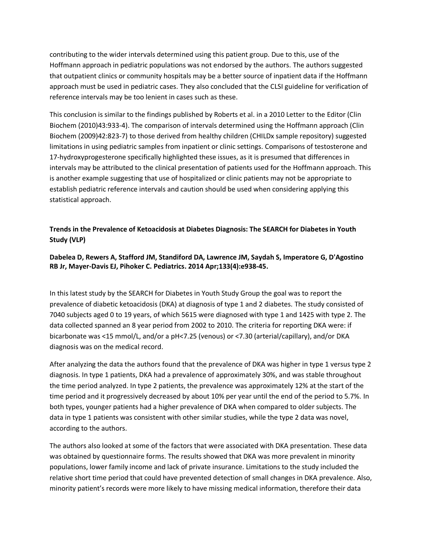contributing to the wider intervals determined using this patient group. Due to this, use of the Hoffmann approach in pediatric populations was not endorsed by the authors. The authors suggested that outpatient clinics or community hospitals may be a better source of inpatient data if the Hoffmann approach must be used in pediatric cases. They also concluded that the CLSI guideline for verification of reference intervals may be too lenient in cases such as these.

This conclusion is similar to the findings published by Roberts et al. in a 2010 Letter to the Editor (Clin Biochem (2010)43:933-4). The comparison of intervals determined using the Hoffmann approach (Clin Biochem (2009)42:823-7) to those derived from healthy children (CHILDx sample repository) suggested limitations in using pediatric samples from inpatient or clinic settings. Comparisons of testosterone and 17-hydroxyprogesterone specifically highlighted these issues, as it is presumed that differences in intervals may be attributed to the clinical presentation of patients used for the Hoffmann approach. This is another example suggesting that use of hospitalized or clinic patients may not be appropriate to establish pediatric reference intervals and caution should be used when considering applying this statistical approach.

## **Trends in the Prevalence of Ketoacidosis at Diabetes Diagnosis: The SEARCH for Diabetes in Youth Study (VLP)**

### **Dabelea D, Rewers A, Stafford JM, Standiford DA, Lawrence JM, Saydah S, Imperatore G, D'Agostino RB Jr, Mayer-Davis EJ, Pihoker C. Pediatrics. 2014 Apr;133(4):e938-45.**

In this latest study by the SEARCH for Diabetes in Youth Study Group the goal was to report the prevalence of diabetic ketoacidosis (DKA) at diagnosis of type 1 and 2 diabetes. The study consisted of 7040 subjects aged 0 to 19 years, of which 5615 were diagnosed with type 1 and 1425 with type 2. The data collected spanned an 8 year period from 2002 to 2010. The criteria for reporting DKA were: if bicarbonate was <15 mmol/L, and/or a pH<7.25 (venous) or <7.30 (arterial/capillary), and/or DKA diagnosis was on the medical record.

After analyzing the data the authors found that the prevalence of DKA was higher in type 1 versus type 2 diagnosis. In type 1 patients, DKA had a prevalence of approximately 30%, and was stable throughout the time period analyzed. In type 2 patients, the prevalence was approximately 12% at the start of the time period and it progressively decreased by about 10% per year until the end of the period to 5.7%. In both types, younger patients had a higher prevalence of DKA when compared to older subjects. The data in type 1 patients was consistent with other similar studies, while the type 2 data was novel, according to the authors.

The authors also looked at some of the factors that were associated with DKA presentation. These data was obtained by questionnaire forms. The results showed that DKA was more prevalent in minority populations, lower family income and lack of private insurance. Limitations to the study included the relative short time period that could have prevented detection of small changes in DKA prevalence. Also, minority patient's records were more likely to have missing medical information, therefore their data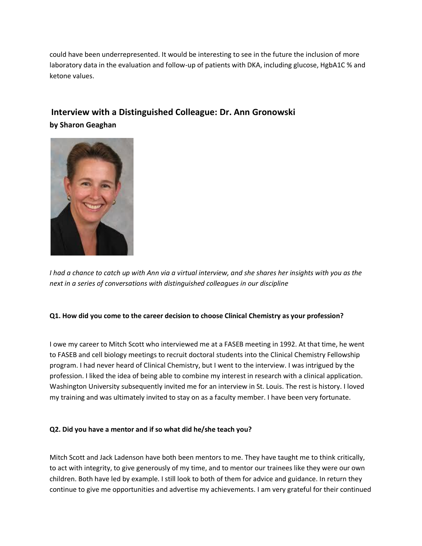could have been underrepresented. It would be interesting to see in the future the inclusion of more laboratory data in the evaluation and follow-up of patients with DKA, including glucose, HgbA1C % and ketone values.

# **Interview with a Distinguished Colleague: Dr. Ann Gronowski by Sharon Geaghan**



*I had a chance to catch up with Ann via a virtual interview, and she shares her insights with you as the next in a series of conversations with distinguished colleagues in our discipline*

#### **Q1. How did you come to the career decision to choose Clinical Chemistry as your profession?**

I owe my career to Mitch Scott who interviewed me at a FASEB meeting in 1992. At that time, he went to FASEB and cell biology meetings to recruit doctoral students into the Clinical Chemistry Fellowship program. I had never heard of Clinical Chemistry, but I went to the interview. I was intrigued by the profession. I liked the idea of being able to combine my interest in research with a clinical application. Washington University subsequently invited me for an interview in St. Louis. The rest is history. I loved my training and was ultimately invited to stay on as a faculty member. I have been very fortunate.

#### **Q2. Did you have a mentor and if so what did he/she teach you?**

Mitch Scott and Jack Ladenson have both been mentors to me. They have taught me to think critically, to act with integrity, to give generously of my time, and to mentor our trainees like they were our own children. Both have led by example. I still look to both of them for advice and guidance. In return they continue to give me opportunities and advertise my achievements. I am very grateful for their continued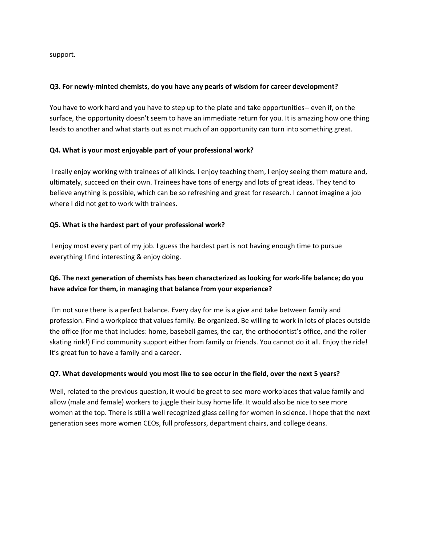support.

#### **Q3. For newly-minted chemists, do you have any pearls of wisdom for career development?**

You have to work hard and you have to step up to the plate and take opportunities-- even if, on the surface, the opportunity doesn't seem to have an immediate return for you. It is amazing how one thing leads to another and what starts out as not much of an opportunity can turn into something great.

#### **Q4. What is your most enjoyable part of your professional work?**

I really enjoy working with trainees of all kinds. I enjoy teaching them, I enjoy seeing them mature and, ultimately, succeed on their own. Trainees have tons of energy and lots of great ideas. They tend to believe anything is possible, which can be so refreshing and great for research. I cannot imagine a job where I did not get to work with trainees.

#### **Q5. What is the hardest part of your professional work?**

I enjoy most every part of my job. I guess the hardest part is not having enough time to pursue everything I find interesting & enjoy doing.

## **Q6. The next generation of chemists has been characterized as looking for work-life balance; do you have advice for them, in managing that balance from your experience?**

I'm not sure there is a perfect balance. Every day for me is a give and take between family and profession. Find a workplace that values family. Be organized. Be willing to work in lots of places outside the office (for me that includes: home, baseball games, the car, the orthodontist's office, and the roller skating rink!) Find community support either from family or friends. You cannot do it all. Enjoy the ride! It's great fun to have a family and a career.

#### **Q7. What developments would you most like to see occur in the field, over the next 5 years?**

Well, related to the previous question, it would be great to see more workplaces that value family and allow (male and female) workers to juggle their busy home life. It would also be nice to see more women at the top. There is still a well recognized glass ceiling for women in science. I hope that the next generation sees more women CEOs, full professors, department chairs, and college deans.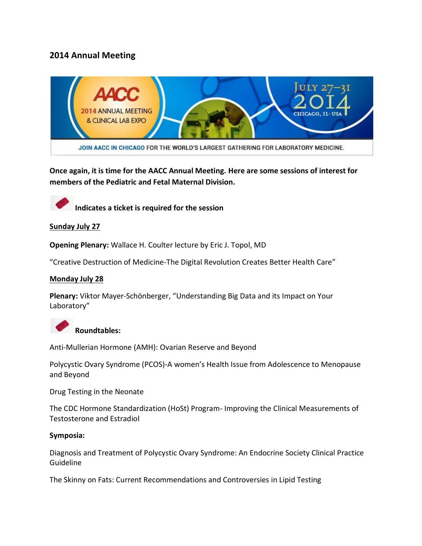# **2014 Annual Meeting**



**Once again, it is time for the AACC Annual Meeting. Here are some sessions of interest for members of the Pediatric and Fetal Maternal Division.**



**Indicates a ticket is required for the session**

#### **Sunday July 27**

**Opening Plenary:** Wallace H. Coulter lecture by Eric J. Topol, MD

"Creative Destruction of Medicine-The Digital Revolution Creates Better Health Care"

#### **Monday July 28**

**Plenary:** Viktor Mayer-Schönberger, "Understanding Big Data and its Impact on Your Laboratory"



Anti-Mullerian Hormone (AMH): Ovarian Reserve and Beyond

Polycystic Ovary Syndrome (PCOS)-A women's Health Issue from Adolescence to Menopause and Beyond

Drug Testing in the Neonate

The CDC Hormone Standardization (HoSt) Program- Improving the Clinical Measurements of Testosterone and Estradiol

#### **Symposia:**

Diagnosis and Treatment of Polycystic Ovary Syndrome: An Endocrine Society Clinical Practice Guideline

The Skinny on Fats: Current Recommendations and Controversies in Lipid Testing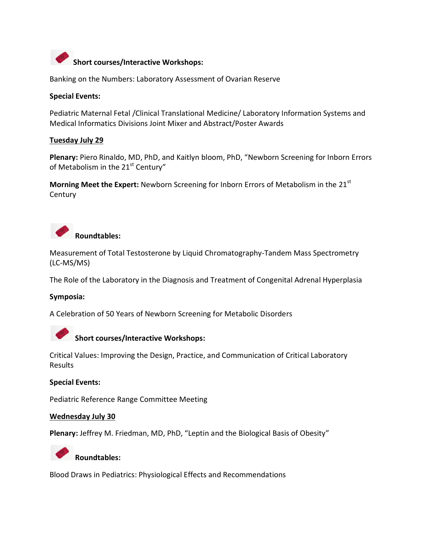

Banking on the Numbers: Laboratory Assessment of Ovarian Reserve

#### **Special Events:**

Pediatric Maternal Fetal /Clinical Translational Medicine/ Laboratory Information Systems and Medical Informatics Divisions Joint Mixer and Abstract/Poster Awards

#### **Tuesday July 29**

**Plenary:** Piero Rinaldo, MD, PhD, and Kaitlyn bloom, PhD, "Newborn Screening for Inborn Errors of Metabolism in the 21<sup>st</sup> Century"

**Morning Meet the Expert:** Newborn Screening for Inborn Errors of Metabolism in the 21<sup>st</sup> **Century** 



Measurement of Total Testosterone by Liquid Chromatography-Tandem Mass Spectrometry (LC-MS/MS)

The Role of the Laboratory in the Diagnosis and Treatment of Congenital Adrenal Hyperplasia

#### **Symposia:**

A Celebration of 50 Years of Newborn Screening for Metabolic Disorders



# **Short courses/Interactive Workshops:**

Critical Values: Improving the Design, Practice, and Communication of Critical Laboratory Results

#### **Special Events:**

Pediatric Reference Range Committee Meeting

#### **Wednesday July 30**

**Plenary:** Jeffrey M. Friedman, MD, PhD, "Leptin and the Biological Basis of Obesity"



### **Roundtables:**

Blood Draws in Pediatrics: Physiological Effects and Recommendations